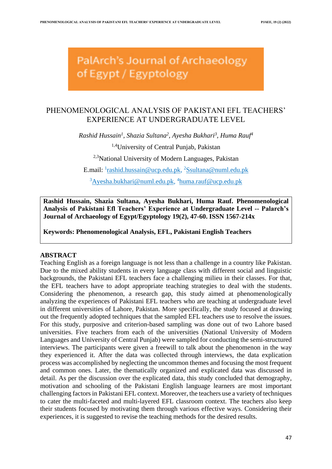PalArch's Journal of Archaeology of Egypt / Egyptology

# PHENOMENOLOGICAL ANALYSIS OF PAKISTANI EFL TEACHERS' EXPERIENCE AT UNDERGRADUATE LEVEL

*Rashid Hussain<sup>1</sup> , Shazia Sultana<sup>2</sup> , Ayesha Bukhari<sup>3</sup> , Huma Rauf<sup>4</sup>*

1,4University of Central Punjab, Pakistan

<sup>2,3</sup>National University of Modern Languages, Pakistan

E.mail: <sup>1</sup>[rashid.hussain@ucp.edu.pk,](mailto:rashid.hussain@ucp.edu.pk) <sup>2</sup>[Ssultana@numl.edu.pk](mailto:Ssultana@numl.edu.pk)

<sup>3</sup>[Ayesha.bukhari@numl.edu.pk,](mailto:Ayesha.bukhari@numl.edu.pk) <sup>4</sup>[huma.rauf@ucp.edu.pk](mailto:huma.rauf@ucp.edu.pk)

**Rashid Hussain, Shazia Sultana, Ayesha Bukhari, Huma Rauf. Phenomenological Analysis of Pakistani Efl Teachers' Experience at Undergraduate Level -- Palarch's Journal of Archaeology of Egypt/Egyptology 19(2), 47-60. ISSN 1567-214x**

**Keywords: Phenomenological Analysis, EFL, Pakistani English Teachers**

# **ABSTRACT**

Teaching English as a foreign language is not less than a challenge in a country like Pakistan. Due to the mixed ability students in every language class with different social and linguistic backgrounds, the Pakistani EFL teachers face a challenging milieu in their classes. For that, the EFL teachers have to adopt appropriate teaching strategies to deal with the students. Considering the phenomenon, a research gap, this study aimed at phenomenologically analyzing the experiences of Pakistani EFL teachers who are teaching at undergraduate level in different universities of Lahore, Pakistan. More specifically, the study focused at drawing out the frequently adopted techniques that the sampled EFL teachers use to resolve the issues. For this study, purposive and criterion-based sampling was done out of two Lahore based universities. Five teachers from each of the universities (National University of Modern Languages and University of Central Punjab) were sampled for conducting the semi-structured interviews. The participants were given a freewill to talk about the phenomenon in the way they experienced it. After the data was collected through interviews, the data explication process was accomplished by neglecting the uncommon themes and focusing the most frequent and common ones. Later, the thematically organized and explicated data was discussed in detail. As per the discussion over the explicated data, this study concluded that demography, motivation and schooling of the Pakistani English language learners are most important challenging factors in Pakistani EFL context. Moreover, the teachers use a variety of techniques to cater the multi-faceted and multi-layered EFL classroom context. The teachers also keep their students focused by motivating them through various effective ways. Considering their experiences, it is suggested to revise the teaching methods for the desired results.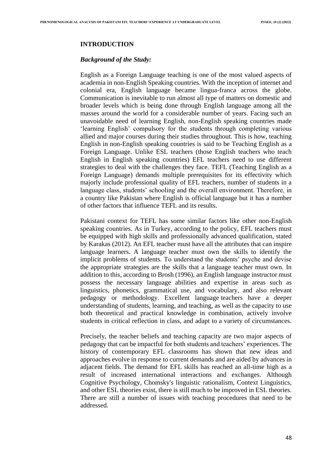## **INTRODUCTION**

#### *Background of the Study:*

English as a Foreign Language teaching is one of the most valued aspects of academia in non-English Speaking countries. With the inception of internet and colonial era, English language became lingua-franca across the globe. Communication is inevitable to run almost all type of matters on domestic and broader levels which is being done through English language among all the masses around the world for a considerable number of years. Facing such an unavoidable need of learning English, non-English speaking countries made 'learning English' compulsory for the students through completing various allied and major courses during their studies throughout. This is how, teaching English in non-English speaking countries is said to be Teaching English as a Foreign Language. Unlike ESL teachers (those English teachers who teach English in English speaking countries) EFL teachers need to use different strategies to deal with the challenges they face. TEFL (Teaching English as a Foreign Language) demands multiple prerequisites for its effectivity which majorly include professional quality of EFL teachers, number of students in a language class, students' schooling and the overall environment. Therefore, in a country like Pakistan where English is official language but it has a number of other factors that influence TEFL and its results.

Pakistani context for TEFL has some similar factors like other non-English speaking countries. As in Turkey, according to the policy, EFL teachers must be equipped with high skills and professionally advanced qualification, stated by Karakas (2012). An EFL teacher must have all the attributes that can inspire language learners. A language teacher must own the skills to identify the implicit problems of students. To understand the students' psyche and devise the appropriate strategies are the skills that a language teacher must own. In addition to this, according to Brosh (1996), an English language instructor must possess the necessary language abilities and expertise in areas such as linguistics, phonetics, grammatical use, and vocabulary, and also relevant pedagogy or methodology. Excellent language teachers have a deeper understanding of students, learning, and teaching, as well as the capacity to use both theoretical and practical knowledge in combination, actively involve students in critical reflection in class, and adapt to a variety of circumstances.

Precisely, the teacher beliefs and teaching capacity are two major aspects of pedagogy that can be impactful for both students and teachers' experiences. The history of contemporary EFL classrooms has shown that new ideas and approaches evolve in response to current demands and are aided by advances in adjacent fields. The demand for EFL skills has reached an all-time high as a result of increased international interactions and exchanges. Although Cognitive Psychology, Chomsky's linguistic rationalism, Context Linguistics, and other ESL theories exist, there is still much to be improved in ESL theories. There are still a number of issues with teaching procedures that need to be addressed.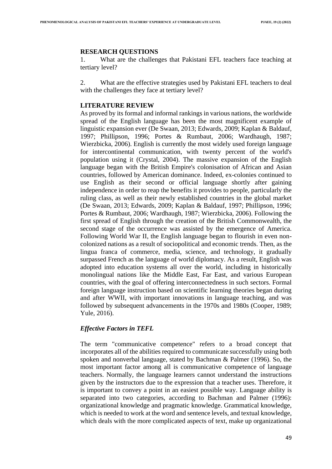#### **RESEARCH QUESTIONS**

1. What are the challenges that Pakistani EFL teachers face teaching at tertiary level?

2. What are the effective strategies used by Pakistani EFL teachers to deal with the challenges they face at tertiary level?

## **LITERATURE REVIEW**

As proved by its formal and informal rankings in various nations, the worldwide spread of the English language has been the most magnificent example of linguistic expansion ever (De Swaan, 2013; Edwards, 2009; Kaplan & Baldauf, 1997; Phillipson, 1996; Portes & Rumbaut, 2006; Wardhaugh, 1987; Wierzbicka, 2006). English is currently the most widely used foreign language for intercontinental communication, with twenty percent of the world's population using it (Crystal, 2004). The massive expansion of the English language began with the British Empire's colonisation of African and Asian countries, followed by American dominance. Indeed, ex-colonies continued to use English as their second or official language shortly after gaining independence in order to reap the benefits it provides to people, particularly the ruling class, as well as their newly established countries in the global market (De Swaan, 2013; Edwards, 2009; Kaplan & Baldauf, 1997; Phillipson, 1996; Portes & Rumbaut, 2006; Wardhaugh, 1987; Wierzbicka, 2006). Following the first spread of English through the creation of the British Commonwealth, the second stage of the occurrence was assisted by the emergence of America. Following World War II, the English language began to flourish in even noncolonized nations as a result of sociopolitical and economic trends. Then, as the lingua franca of commerce, media, science, and technology, it gradually surpassed French as the language of world diplomacy. As a result, English was adopted into education systems all over the world, including in historically monolingual nations like the Middle East, Far East, and various European countries, with the goal of offering interconnectedness in such sectors. Formal foreign language instruction based on scientific learning theories began during and after WWII, with important innovations in language teaching, and was followed by subsequent advancements in the 1970s and 1980s (Cooper, 1989; Yule, 2016).

## *Effective Factors in TEFL*

The term "communicative competence" refers to a broad concept that incorporates all of the abilities required to communicate successfully using both spoken and nonverbal language, stated by Bachman & Palmer (1996). So, the most important factor among all is communicative competence of language teachers. Normally, the language learners cannot understand the instructions given by the instructors due to the expression that a teacher uses. Therefore, it is important to convey a point in an easiest possible way. Language ability is separated into two categories, according to Bachman and Palmer (1996): organizational knowledge and pragmatic knowledge. Grammatical knowledge, which is needed to work at the word and sentence levels, and textual knowledge, which deals with the more complicated aspects of text, make up organizational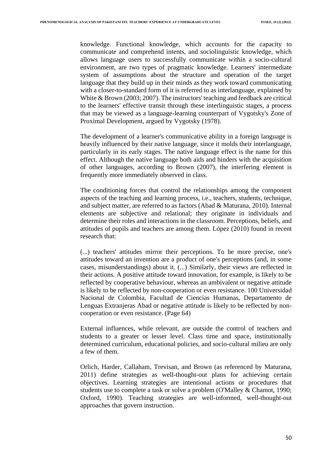knowledge. Functional knowledge, which accounts for the capacity to communicate and comprehend intents, and sociolinguistic knowledge, which allows language users to successfully communicate within a socio-cultural environment, are two types of pragmatic knowledge. Learners' intermediate system of assumptions about the structure and operation of the target language that they build up in their minds as they work toward communicating with a closer-to-standard form of it is referred to as interlanguage, explained by White & Brown (2003; 2007). The instructors' teaching and feedback are critical to the learners' effective transit through these interlinguistic stages, a process that may be viewed as a language-learning counterpart of Vygotsky's Zone of Proximal Development, argued by Vygotsky (1978).

The development of a learner's communicative ability in a foreign language is heavily influenced by their native language, since it molds their interlanguage, particularly in its early stages. The native language effect is the name for this effect. Although the native language both aids and hinders with the acquisition of other languages, according to Brown (2007), the interfering element is frequently more immediately observed in class.

The conditioning forces that control the relationships among the component aspects of the teaching and learning process, i.e., teachers, students, technique, and subject matter, are referred to as factors (Abad & Maturana, 2010). Internal elements are subjective and relational; they originate in individuals and determine their roles and interactions in the classroom. Perceptions, beliefs, and attitudes of pupils and teachers are among them. López (2010) found in recent research that:

(...) teachers' attitudes mirror their perceptions. To be more precise, one's attitudes toward an invention are a product of one's perceptions (and, in some cases, misunderstandings) about it. (...) Similarly, their views are reflected in their actions. A positive attitude toward innovation, for example, is likely to be reflected by cooperative behaviour, whereas an ambivalent or negative attitude is likely to be reflected by non-cooperation or even resistance. 100 Universidad Nacional de Colombia, Facultad de Ciencias Humanas, Departamento de Lenguas Extranjeras Abad or negative attitude is likely to be reflected by noncooperation or even resistance. (Page 64)

External influences, while relevant, are outside the control of teachers and students to a greater or lesser level. Class time and space, institutionally determined curriculum, educational policies, and socio-cultural milieu are only a few of them.

Orlich, Harder, Callaham, Trevisan, and Brown (as referenced by Maturana, 2011) define strategies as well-thought-out plans for achieving certain objectives. Learning strategies are intentional actions or procedures that students use to complete a task or solve a problem (O'Malley & Chamot, 1990; Oxford, 1990). Teaching strategies are well-informed, well-thought-out approaches that govern instruction.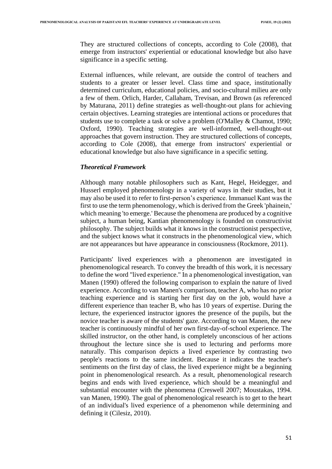They are structured collections of concepts, according to Cole (2008), that emerge from instructors' experiential or educational knowledge but also have significance in a specific setting.

External influences, while relevant, are outside the control of teachers and students to a greater or lesser level. Class time and space, institutionally determined curriculum, educational policies, and socio-cultural milieu are only a few of them. Orlich, Harder, Callaham, Trevisan, and Brown (as referenced by Maturana, 2011) define strategies as well-thought-out plans for achieving certain objectives. Learning strategies are intentional actions or procedures that students use to complete a task or solve a problem (O'Malley & Chamot, 1990; Oxford, 1990). Teaching strategies are well-informed, well-thought-out approaches that govern instruction. They are structured collections of concepts, according to Cole (2008), that emerge from instructors' experiential or educational knowledge but also have significance in a specific setting.

## *Theoretical Framework*

Although many notable philosophers such as Kant, Hegel, Heidegger, and Husserl employed phenomenology in a variety of ways in their studies, but it may also be used it to refer to first-person's experience. Immanuel Kant was the first to use the term phenomenology, which is derived from the Greek 'phainein,' which meaning 'to emerge.' Because the phenomena are produced by a cognitive subject, a human being, Kantian phenomenology is founded on constructivist philosophy. The subject builds what it knows in the constructionist perspective, and the subject knows what it constructs in the phenomenological view, which are not appearances but have appearance in consciousness (Rockmore, 2011).

Participants' lived experiences with a phenomenon are investigated in phenomenological research. To convey the breadth of this work, it is necessary to define the word "lived experience." In a phenomenological investigation, van Manen (1990) offered the following comparison to explain the nature of lived experience. According to van Manen's comparison, teacher A, who has no prior teaching experience and is starting her first day on the job, would have a different experience than teacher B, who has 10 years of expertise. During the lecture, the experienced instructor ignores the presence of the pupils, but the novice teacher is aware of the students' gaze. According to van Manen, the new teacher is continuously mindful of her own first-day-of-school experience. The skilled instructor, on the other hand, is completely unconscious of her actions throughout the lecture since she is used to lecturing and performs more naturally. This comparison depicts a lived experience by contrasting two people's reactions to the same incident. Because it indicates the teacher's sentiments on the first day of class, the lived experience might be a beginning point in phenomenological research. As a result, phenomenological research begins and ends with lived experience, which should be a meaningful and substantial encounter with the phenomena (Creswell 2007; Moustakas, 1994. van Manen, 1990). The goal of phenomenological research is to get to the heart of an individual's lived experience of a phenomenon while determining and defining it (Cilesiz, 2010).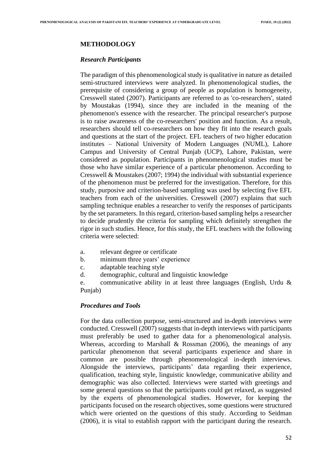# **METHODOLOGY**

## *Research Participants*

The paradigm of this phenomenological study is qualitative in nature as detailed semi-structured interviews were analyzed. In phenomenological studies, the prerequisite of considering a group of people as population is homogeneity, Cresswell stated (2007). Participants are referred to as 'co-researchers', stated by Moustakas (1994), since they are included in the meaning of the phenomenon's essence with the researcher. The principal researcher's purpose is to raise awareness of the co-researchers' position and function. As a result, researchers should tell co-researchers on how they fit into the research goals and questions at the start of the project. EFL teachers of two higher education institutes – National University of Modern Languages (NUML), Lahore Campus and University of Central Punjab (UCP), Lahore, Pakistan, were considered as population. Participants in phenomenological studies must be those who have similar experience of a particular phenomenon. According to Cresswell & Moustakes (2007; 1994) the individual with substantial experience of the phenomenon must be preferred for the investigation. Therefore, for this study, purposive and criterion-based sampling was used by selecting five EFL teachers from each of the universities. Cresswell (2007) explains that such sampling technique enables a researcher to verify the responses of participants by the set parameters. In this regard, criterion-based sampling helps a researcher to decide prudently the criteria for sampling which definitely strengthen the rigor in such studies. Hence, for this study, the EFL teachers with the following criteria were selected:

- a. relevant degree or certificate
- b. minimum three years' experience
- c. adaptable teaching style
- d. demographic, cultural and linguistic knowledge

e. communicative ability in at least three languages (English, Urdu & Punjab)

## *Procedures and Tools*

For the data collection purpose, semi-structured and in-depth interviews were conducted. Cresswell (2007) suggests that in-depth interviews with participants must preferably be used to gather data for a phenomenological analysis. Whereas, according to Marshall & Rossman (2006), the meanings of any particular phenomenon that several participants experience and share in common are possible through phenomenological in-depth interviews. Alongside the interviews, participants' data regarding their experience, qualification, teaching style, linguistic knowledge, communicative ability and demographic was also collected. Interviews were started with greetings and some general questions so that the participants could get relaxed, as suggested by the experts of phenomenological studies. However, for keeping the participants focused on the research objectives, some questions were structured which were oriented on the questions of this study. According to Seidman (2006), it is vital to establish rapport with the participant during the research.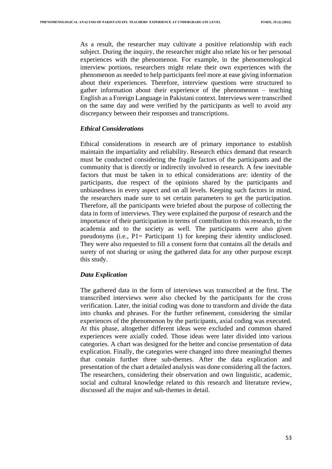As a result, the researcher may cultivate a positive relationship with each subject. During the inquiry, the researcher might also relate his or her personal experiences with the phenomenon. For example, in the phenomenological interview portions, researchers might relate their own experiences with the phenomenon as needed to help participants feel more at ease giving information about their experiences. Therefore, interview questions were structured to gather information about their experience of the phenomenon – teaching English as a Foreign Language in Pakistani context. Interviews were transcribed on the same day and were verified by the participants as well to avoid any discrepancy between their responses and transcriptions.

#### *Ethical Considerations*

Ethical considerations in research are of primary importance to establish maintain the impartiality and reliability. Research ethics demand that research must be conducted considering the fragile factors of the participants and the community that is directly or indirectly involved in research. A few inevitable factors that must be taken in to ethical considerations are: identity of the participants, due respect of the opinions shared by the participants and unbiasedness in every aspect and on all levels. Keeping such factors in mind, the researchers made sure to set certain parameters to get the participation. Therefore, all the participants were briefed about the purpose of collecting the data in form of interviews. They were explained the purpose of research and the importance of their participation in terms of contribution to this research, to the academia and to the society as well. The participants were also given pseudonyms (i.e., P1= Participant 1) for keeping their identity undisclosed. They were also requested to fill a consent form that contains all the details and surety of not sharing or using the gathered data for any other purpose except this study.

## *Data Explication*

The gathered data in the form of interviews was transcribed at the first. The transcribed interviews were also checked by the participants for the cross verification. Later, the initial coding was done to transform and divide the data into chunks and phrases. For the further refinement, considering the similar experiences of the phenomenon by the participants, axial coding was executed. At this phase, altogether different ideas were excluded and common shared experiences were axially coded. Those ideas were later divided into various categories. A chart was designed for the better and concise presentation of data explication. Finally, the categories were changed into three meaningful themes that contain further three sub-themes. After the data explication and presentation of the chart a detailed analysis was done considering all the factors. The researchers, considering their observation and own linguistic, academic, social and cultural knowledge related to this research and literature review, discussed all the major and sub-themes in detail.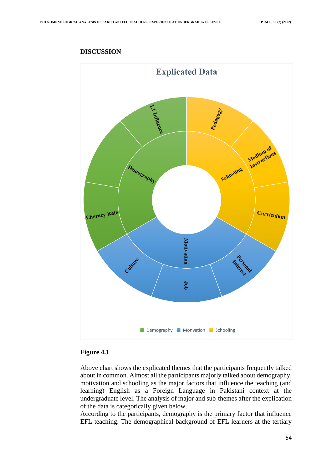

# **DISCUSSION**

## **Figure 4.1**

Above chart shows the explicated themes that the participants frequently talked about in common. Almost all the participants majorly talked about demography, motivation and schooling as the major factors that influence the teaching (and learning) English as a Foreign Language in Pakistani context at the undergraduate level. The analysis of major and sub-themes after the explication of the data is categorically given below.

According to the participants, demography is the primary factor that influence EFL teaching. The demographical background of EFL learners at the tertiary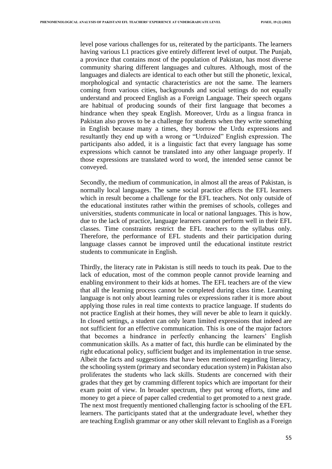level pose various challenges for us, reiterated by the participants. The learners having various L1 practices give entirely different level of output. The Punjab, a province that contains most of the population of Pakistan, has most diverse community sharing different languages and cultures. Although, most of the languages and dialects are identical to each other but still the phonetic, lexical, morphological and syntactic characteristics are not the same. The learners coming from various cities, backgrounds and social settings do not equally understand and proceed English as a Foreign Language. Their speech organs are habitual of producing sounds of their first language that becomes a hindrance when they speak English. Moreover, Urdu as a lingua franca in Pakistan also proves to be a challenge for students when they write something in English because many a times, they borrow the Urdu expressions and resultantly they end up with a wrong or "Urduized" English expression. The participants also added, it is a linguistic fact that every language has some expressions which cannot be translated into any other language properly. If those expressions are translated word to word, the intended sense cannot be conveyed.

Secondly, the medium of communication, in almost all the areas of Pakistan, is normally local languages. The same social practice affects the EFL learners which in result become a challenge for the EFL teachers. Not only outside of the educational institutes rather within the premises of schools, colleges and universities, students communicate in local or national languages. This is how, due to the lack of practice, language learners cannot perform well in their EFL classes. Time constraints restrict the EFL teachers to the syllabus only. Therefore, the performance of EFL students and their participation during language classes cannot be improved until the educational institute restrict students to communicate in English.

Thirdly, the literacy rate in Pakistan is still needs to touch its peak. Due to the lack of education, most of the common people cannot provide learning and enabling environment to their kids at homes. The EFL teachers are of the view that all the learning process cannot be completed during class time. Learning language is not only about learning rules or expressions rather it is more about applying those rules in real time contexts to practice language. If students do not practice English at their homes, they will never be able to learn it quickly. In closed settings, a student can only learn limited expressions that indeed are not sufficient for an effective communication. This is one of the major factors that becomes a hindrance in perfectly enhancing the learners' English communication skills. As a matter of fact, this hurdle can be eliminated by the right educational policy, sufficient budget and its implementation in true sense. Albeit the facts and suggestions that have been mentioned regarding literacy, the schooling system (primary and secondary education system) in Pakistan also proliferates the students who lack skills. Students are concerned with their grades that they get by cramming different topics which are important for their exam point of view. In broader spectrum, they put wrong efforts, time and money to get a piece of paper called credential to get promoted to a next grade. The next most frequently mentioned challenging factor is schooling of the EFL learners. The participants stated that at the undergraduate level, whether they are teaching English grammar or any other skill relevant to English as a Foreign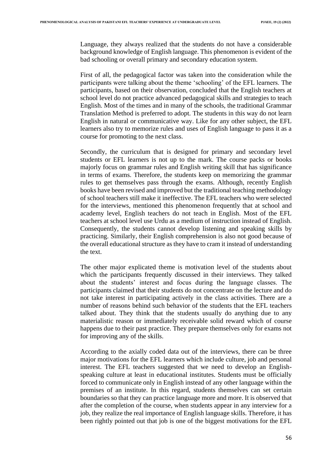Language, they always realized that the students do not have a considerable background knowledge of English language. This phenomenon is evident of the bad schooling or overall primary and secondary education system.

First of all, the pedagogical factor was taken into the consideration while the participants were talking about the theme 'schooling' of the EFL learners. The participants, based on their observation, concluded that the English teachers at school level do not practice advanced pedagogical skills and strategies to teach English. Most of the times and in many of the schools, the traditional Grammar Translation Method is preferred to adopt. The students in this way do not learn English in natural or communicative way. Like for any other subject, the EFL learners also try to memorize rules and uses of English language to pass it as a course for promoting to the next class.

Secondly, the curriculum that is designed for primary and secondary level students or EFL learners is not up to the mark. The course packs or books majorly focus on grammar rules and English writing skill that has significance in terms of exams. Therefore, the students keep on memorizing the grammar rules to get themselves pass through the exams. Although, recently English books have been revised and improved but the traditional teaching methodology of school teachers still make it ineffective. The EFL teachers who were selected for the interviews, mentioned this phenomenon frequently that at school and academy level, English teachers do not teach in English. Most of the EFL teachers at school level use Urdu as a medium of instruction instead of English. Consequently, the students cannot develop listening and speaking skills by practicing. Similarly, their English comprehension is also not good because of the overall educational structure as they have to cram it instead of understanding the text.

The other major explicated theme is motivation level of the students about which the participants frequently discussed in their interviews. They talked about the students' interest and focus during the language classes. The participants claimed that their students do not concentrate on the lecture and do not take interest in participating actively in the class activities. There are a number of reasons behind such behavior of the students that the EFL teachers talked about. They think that the students usually do anything due to any materialistic reason or immediately receivable solid reward which of course happens due to their past practice. They prepare themselves only for exams not for improving any of the skills.

According to the axially coded data out of the interviews, there can be three major motivations for the EFL learners which include culture, job and personal interest. The EFL teachers suggested that we need to develop an Englishspeaking culture at least in educational institutes. Students must be officially forced to communicate only in English instead of any other language within the premises of an institute. In this regard, students themselves can set certain boundaries so that they can practice language more and more. It is observed that after the completion of the course, when students appear in any interview for a job, they realize the real importance of English language skills. Therefore, it has been rightly pointed out that job is one of the biggest motivations for the EFL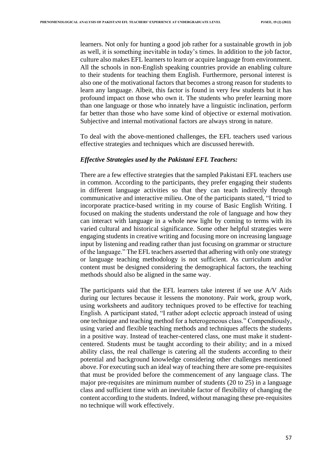learners. Not only for hunting a good job rather for a sustainable growth in job as well, it is something inevitable in today's times. In addition to the job factor, culture also makes EFL learners to learn or acquire language from environment. All the schools in non-English speaking countries provide an enabling culture to their students for teaching them English. Furthermore, personal interest is also one of the motivational factors that becomes a strong reason for students to learn any language. Albeit, this factor is found in very few students but it has profound impact on those who own it. The students who prefer learning more than one language or those who innately have a linguistic inclination, perform far better than those who have some kind of objective or external motivation. Subjective and internal motivational factors are always strong in nature.

To deal with the above-mentioned challenges, the EFL teachers used various effective strategies and techniques which are discussed herewith.

#### *Effective Strategies used by the Pakistani EFL Teachers:*

There are a few effective strategies that the sampled Pakistani EFL teachers use in common. According to the participants, they prefer engaging their students in different language activities so that they can teach indirectly through communicative and interactive milieu. One of the participants stated, "I tried to incorporate practice-based writing in my course of Basic English Writing. I focused on making the students understand the role of language and how they can interact with language in a whole new light by coming to terms with its varied cultural and historical significance. Some other helpful strategies were engaging students in creative writing and focusing more on increasing language input by listening and reading rather than just focusing on grammar or structure of the language." The EFL teachers asserted that adhering with only one strategy or language teaching methodology is not sufficient. As curriculum and/or content must be designed considering the demographical factors, the teaching methods should also be aligned in the same way.

The participants said that the EFL learners take interest if we use A/V Aids during our lectures because it lessens the monotony. Pair work, group work, using worksheets and auditory techniques proved to be effective for teaching English. A participant stated, "I rather adopt eclectic approach instead of using one technique and teaching method for a heterogeneous class." Compendiously, using varied and flexible teaching methods and techniques affects the students in a positive way. Instead of teacher-centered class, one must make it studentcentered. Students must be taught according to their ability; and in a mixed ability class, the real challenge is catering all the students according to their potential and background knowledge considering other challenges mentioned above. For executing such an ideal way of teaching there are some pre-requisites that must be provided before the commencement of any language class. The major pre-requisites are minimum number of students (20 to 25) in a language class and sufficient time with an inevitable factor of flexibility of changing the content according to the students. Indeed, without managing these pre-requisites no technique will work effectively.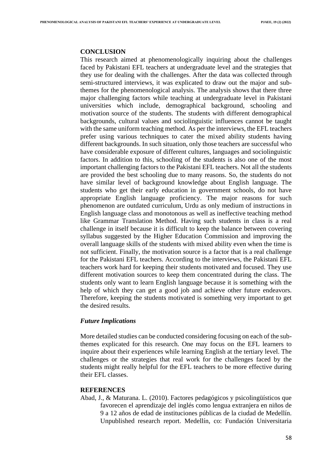#### **CONCLUSION**

This research aimed at phenomenologically inquiring about the challenges faced by Pakistani EFL teachers at undergraduate level and the strategies that they use for dealing with the challenges. After the data was collected through semi-structured interviews, it was explicated to draw out the major and subthemes for the phenomenological analysis. The analysis shows that there three major challenging factors while teaching at undergraduate level in Pakistani universities which include, demographical background, schooling and motivation source of the students. The students with different demographical backgrounds, cultural values and sociolinguistic influences cannot be taught with the same uniform teaching method. As per the interviews, the EFL teachers prefer using various techniques to cater the mixed ability students having different backgrounds. In such situation, only those teachers are successful who have considerable exposure of different cultures, languages and sociolinguistic factors. In addition to this, schooling of the students is also one of the most important challenging factors to the Pakistani EFL teachers. Not all the students are provided the best schooling due to many reasons. So, the students do not have similar level of background knowledge about English language. The students who get their early education in government schools, do not have appropriate English language proficiency. The major reasons for such phenomenon are outdated curriculum, Urdu as only medium of instructions in English language class and monotonous as well as ineffective teaching method like Grammar Translation Method. Having such students in class is a real challenge in itself because it is difficult to keep the balance between covering syllabus suggested by the Higher Education Commission and improving the overall language skills of the students with mixed ability even when the time is not sufficient. Finally, the motivation source is a factor that is a real challenge for the Pakistani EFL teachers. According to the interviews, the Pakistani EFL teachers work hard for keeping their students motivated and focused. They use different motivation sources to keep them concentrated during the class. The students only want to learn English language because it is something with the help of which they can get a good job and achieve other future endeavors. Therefore, keeping the students motivated is something very important to get the desired results.

## *Future Implications*

More detailed studies can be conducted considering focusing on each of the subthemes explicated for this research. One may focus on the EFL learners to inquire about their experiences while learning English at the tertiary level. The challenges or the strategies that real work for the challenges faced by the students might really helpful for the EFL teachers to be more effective during their EFL classes.

#### **REFERENCES**

Abad, J., & Maturana. L. (2010). Factores pedagógicos y psicolingüísticos que favorecen el aprendizaje del inglés como lengua extranjera en niños de 9 a 12 años de edad de instituciones públicas de la ciudad de Medellín. Unpublished research report. Medellín, co: Fundación Universitaria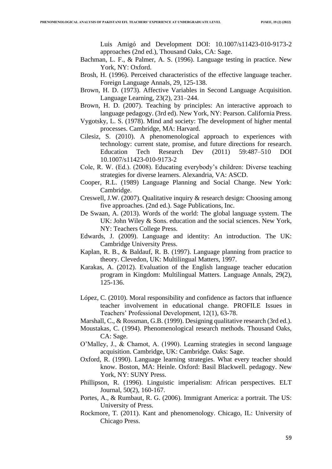Luis Amigó and Development DOI: 10.1007/s11423-010-9173-2 approaches (2nd ed.), Thousand Oaks, CA: Sage.

- Bachman, L. F., & Palmer, A. S. (1996). Language testing in practice. New York, NY: Oxford.
- Brosh, H. (1996). Perceived characteristics of the effective language teacher. Foreign Language Annals, 29, 125-138.
- Brown, H. D. (1973). Affective Variables in Second Language Acquisition. Language Learning, 23(2), 231–244.
- Brown, H. D. (2007). Teaching by principles: An interactive approach to language pedagogy. (3rd ed). New York, NY: Pearson. California Press.
- Vygotsky, L. S. (1978). Mind and society: The development of higher mental processes. Cambridge, MA: Harvard.
- Cilesiz, S. (2010). A phenomenological approach to experiences with technology: current state, promise, and future directions for research. Education Tech Research Dev (2011) 59:487–510 DOI 10.1007/s11423-010-9173-2
- Cole, R. W. (Ed.). (2008). Educating everybody's children: Diverse teaching strategies for diverse learners. Alexandria, VA: ASCD.
- Cooper, R.L. (1989) Language Planning and Social Change. New York: Cambridge.
- Creswell, J.W. (2007). Qualitative inquiry & research design: Choosing among five approaches. (2nd ed.). Sage Publications, Inc.
- De Swaan, A. (2013). Words of the world: The global language system. The UK: John Wiley & Sons. education and the social sciences. New York, NY: Teachers College Press.
- Edwards, J. (2009). Language and identity: An introduction. The UK: Cambridge University Press.
- Kaplan, R. B., & Baldauf, R. B. (1997). Language planning from practice to theory. Clevedon, UK: Multilingual Matters, 1997.
- Karakas, A. (2012). Evaluation of the English language teacher education program in Kingdom: Multilingual Matters. Language Annals, 29(2), 125-136.
- López, C. (2010). Moral responsibility and confidence as factors that influence teacher involvement in educational change. PROFILE Issues in Teachers' Professional Development, 12(1), 63-78.
- Marshall, C., & Rossman, G.B. (1999). Designing qualitative research (3rd ed.).
- Moustakas, C. (1994). Phenomenological research methods. Thousand Oaks, CA: Sage.
- O'Malley, J., & Chamot, A. (1990). Learning strategies in second language acquisition. Cambridge, UK: Cambridge. Oaks: Sage.
- Oxford, R. (1990). Language learning strategies. What every teacher should know. Boston, MA: Heinle. Oxford: Basil Blackwell. pedagogy. New York, NY: SUNY Press.
- Phillipson, R. (1996). Linguistic imperialism: African perspectives. ELT Journal, 50(2), 160-167.
- Portes, A., & Rumbaut, R. G. (2006). Immigrant America: a portrait. The US: University of Press.
- Rockmore, T. (2011). Kant and phenomenology. Chicago, IL: University of Chicago Press.